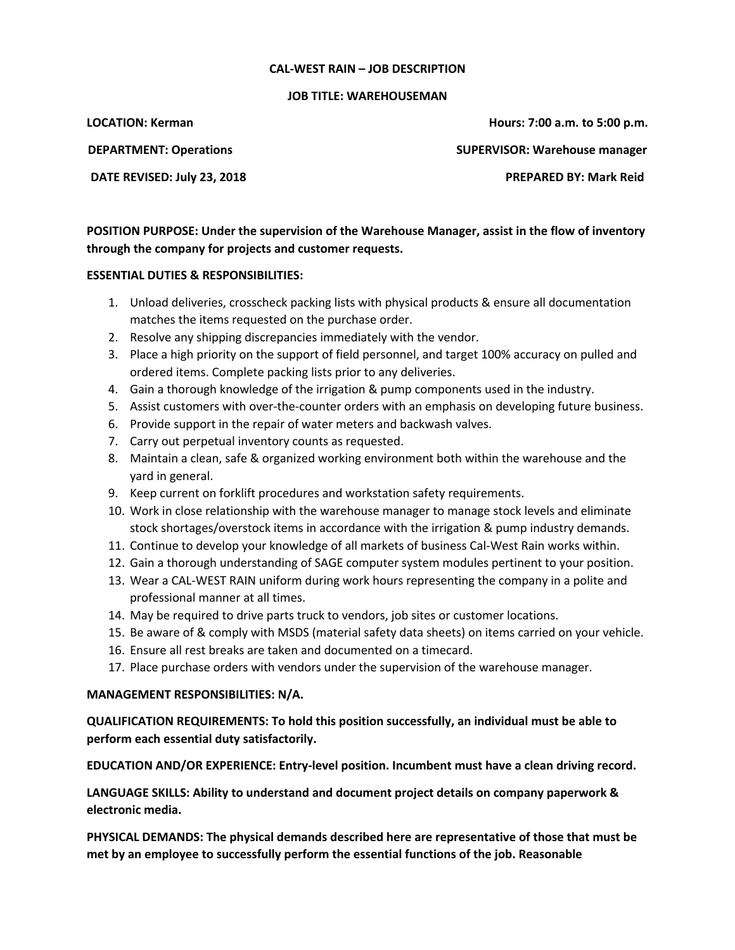## **CAL-WEST RAIN – JOB DESCRIPTION**

## **JOB TITLE: WAREHOUSEMAN**

**LOCATION: Kerman Hours: 7:00 a.m. to 5:00 p.m. DEPARTMENT: Operations SUPERVISOR: Warehouse manager** 

**DATE REVISED: July 23, 2018 PREPARED BY: Mark Reid**

**POSITION PURPOSE: Under the supervision of the Warehouse Manager, assist in the flow of inventory through the company for projects and customer requests.**

## **ESSENTIAL DUTIES & RESPONSIBILITIES:**

- 1. Unload deliveries, crosscheck packing lists with physical products & ensure all documentation matches the items requested on the purchase order.
- 2. Resolve any shipping discrepancies immediately with the vendor.
- 3. Place a high priority on the support of field personnel, and target 100% accuracy on pulled and ordered items. Complete packing lists prior to any deliveries.
- 4. Gain a thorough knowledge of the irrigation & pump components used in the industry.
- 5. Assist customers with over-the-counter orders with an emphasis on developing future business.
- 6. Provide support in the repair of water meters and backwash valves.
- 7. Carry out perpetual inventory counts as requested.
- 8. Maintain a clean, safe & organized working environment both within the warehouse and the yard in general.
- 9. Keep current on forklift procedures and workstation safety requirements.
- 10. Work in close relationship with the warehouse manager to manage stock levels and eliminate stock shortages/overstock items in accordance with the irrigation & pump industry demands.
- 11. Continue to develop your knowledge of all markets of business Cal-West Rain works within.
- 12. Gain a thorough understanding of SAGE computer system modules pertinent to your position.
- 13. Wear a CAL-WEST RAIN uniform during work hours representing the company in a polite and professional manner at all times.
- 14. May be required to drive parts truck to vendors, job sites or customer locations.
- 15. Be aware of & comply with MSDS (material safety data sheets) on items carried on your vehicle.
- 16. Ensure all rest breaks are taken and documented on a timecard.
- 17. Place purchase orders with vendors under the supervision of the warehouse manager.

## **MANAGEMENT RESPONSIBILITIES: N/A.**

**QUALIFICATION REQUIREMENTS: To hold this position successfully, an individual must be able to perform each essential duty satisfactorily.**

**EDUCATION AND/OR EXPERIENCE: Entry-level position. Incumbent must have a clean driving record.**

**LANGUAGE SKILLS: Ability to understand and document project details on company paperwork & electronic media.**

**PHYSICAL DEMANDS: The physical demands described here are representative of those that must be met by an employee to successfully perform the essential functions of the job. Reasonable**